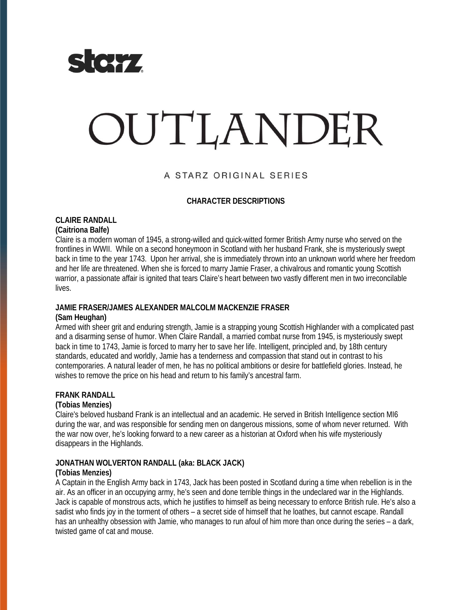

# OUTLANDER

# A STARZ ORIGINAL SERIES

## **CHARACTER DESCRIPTIONS**

#### **CLAIRE RANDALL (Caitriona Balfe)**

Claire is a modern woman of 1945, a strong-willed and quick-witted former British Army nurse who served on the frontlines in WWII. While on a second honeymoon in Scotland with her husband Frank, she is mysteriously swept back in time to the year 1743. Upon her arrival, she is immediately thrown into an unknown world where her freedom and her life are threatened. When she is forced to marry Jamie Fraser, a chivalrous and romantic young Scottish warrior, a passionate affair is ignited that tears Claire's heart between two vastly different men in two irreconcilable lives.

## **JAMIE FRASER/JAMES ALEXANDER MALCOLM MACKENZIE FRASER**

## **(Sam Heughan)**

Armed with sheer grit and enduring strength, Jamie is a strapping young Scottish Highlander with a complicated past and a disarming sense of humor. When Claire Randall, a married combat nurse from 1945, is mysteriously swept back in time to 1743, Jamie is forced to marry her to save her life. Intelligent, principled and, by 18th century standards, educated and worldly, Jamie has a tenderness and compassion that stand out in contrast to his contemporaries. A natural leader of men, he has no political ambitions or desire for battlefield glories. Instead, he wishes to remove the price on his head and return to his family's ancestral farm.

## **FRANK RANDALL**

## **(Tobias Menzies)**

Claire's beloved husband Frank is an intellectual and an academic. He served in British Intelligence section MI6 during the war, and was responsible for sending men on dangerous missions, some of whom never returned. With the war now over, he's looking forward to a new career as a historian at Oxford when his wife mysteriously disappears in the Highlands.

## **JONATHAN WOLVERTON RANDALL (aka: BLACK JACK)**

## **(Tobias Menzies)**

A Captain in the English Army back in 1743, Jack has been posted in Scotland during a time when rebellion is in the air. As an officer in an occupying army, he's seen and done terrible things in the undeclared war in the Highlands. Jack is capable of monstrous acts, which he justifies to himself as being necessary to enforce British rule. He's also a sadist who finds joy in the torment of others – a secret side of himself that he loathes, but cannot escape. Randall has an unhealthy obsession with Jamie, who manages to run afoul of him more than once during the series – a dark, twisted game of cat and mouse.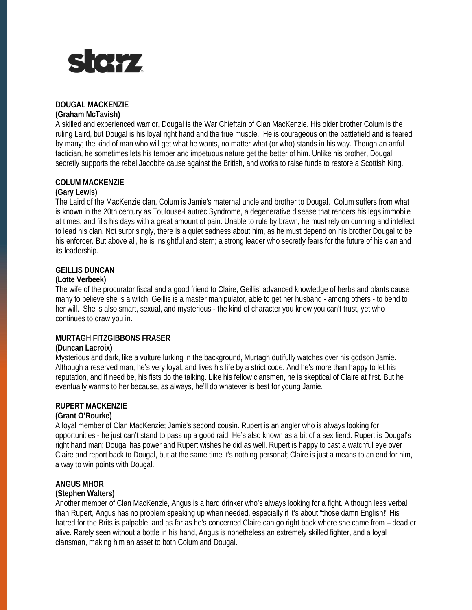

## **DOUGAL MACKENZIE**

## **(Graham McTavish)**

A skilled and experienced warrior, Dougal is the War Chieftain of Clan MacKenzie. His older brother Colum is the ruling Laird, but Dougal is his loyal right hand and the true muscle. He is courageous on the battlefield and is feared by many; the kind of man who will get what he wants, no matter what (or who) stands in his way. Though an artful tactician, he sometimes lets his temper and impetuous nature get the better of him. Unlike his brother, Dougal secretly supports the rebel Jacobite cause against the British, and works to raise funds to restore a Scottish King.

## **COLUM MACKENZIE**

## **(Gary Lewis)**

The Laird of the MacKenzie clan, Colum is Jamie's maternal uncle and brother to Dougal. Colum suffers from what is known in the 20th century as Toulouse-Lautrec Syndrome, a degenerative disease that renders his legs immobile at times, and fills his days with a great amount of pain. Unable to rule by brawn, he must rely on cunning and intellect to lead his clan. Not surprisingly, there is a quiet sadness about him, as he must depend on his brother Dougal to be his enforcer. But above all, he is insightful and stern; a strong leader who secretly fears for the future of his clan and its leadership.

## **GEILLIS DUNCAN**

## **(Lotte Verbeek)**

The wife of the procurator fiscal and a good friend to Claire, Geillis' advanced knowledge of herbs and plants cause many to believe she is a witch. Geillis is a master manipulator, able to get her husband - among others - to bend to her will. She is also smart, sexual, and mysterious - the kind of character you know you can't trust, yet who continues to draw you in.

## **MURTAGH FITZGIBBONS FRASER**

## **(Duncan Lacroix)**

Mysterious and dark, like a vulture lurking in the background, Murtagh dutifully watches over his godson Jamie. Although a reserved man, he's very loyal, and lives his life by a strict code. And he's more than happy to let his reputation, and if need be, his fists do the talking. Like his fellow clansmen, he is skeptical of Claire at first. But he eventually warms to her because, as always, he'll do whatever is best for young Jamie.

## **RUPERT MACKENZIE**

## **(Grant O'Rourke)**

A loyal member of Clan MacKenzie; Jamie's second cousin. Rupert is an angler who is always looking for opportunities - he just can't stand to pass up a good raid. He's also known as a bit of a sex fiend. Rupert is Dougal's right hand man; Dougal has power and Rupert wishes he did as well. Rupert is happy to cast a watchful eye over Claire and report back to Dougal, but at the same time it's nothing personal; Claire is just a means to an end for him, a way to win points with Dougal.

## **ANGUS MHOR**

## **(Stephen Walters)**

Another member of Clan MacKenzie, Angus is a hard drinker who's always looking for a fight. Although less verbal than Rupert, Angus has no problem speaking up when needed, especially if it's about "those damn English!" His hatred for the Brits is palpable, and as far as he's concerned Claire can go right back where she came from – dead or alive. Rarely seen without a bottle in his hand, Angus is nonetheless an extremely skilled fighter, and a loyal clansman, making him an asset to both Colum and Dougal.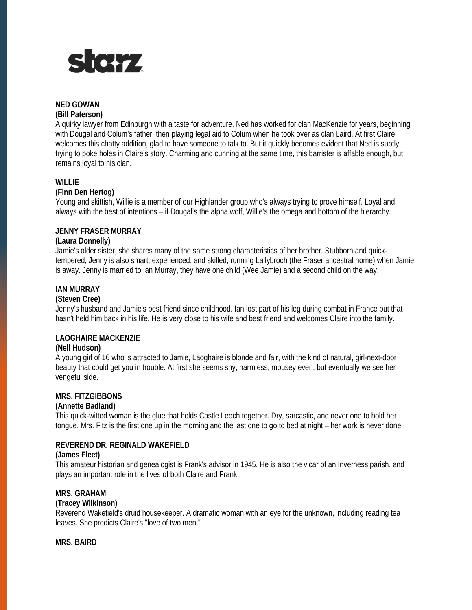

# **NED GOWAN**

## **(Bill Paterson)**

A quirky lawyer from Edinburgh with a taste for adventure. Ned has worked for clan MacKenzie for years, beginning with Dougal and Colum's father, then playing legal aid to Colum when he took over as clan Laird. At first Claire welcomes this chatty addition, glad to have someone to talk to. But it quickly becomes evident that Ned is subtly trying to poke holes in Claire's story. Charming and cunning at the same time, this barrister is affable enough, but remains loyal to his clan.

## **WILLIE**

## **(Finn Den Hertog)**

Young and skittish, Willie is a member of our Highlander group who's always trying to prove himself. Loyal and always with the best of intentions – if Dougal's the alpha wolf, Willie's the omega and bottom of the hierarchy.

## **JENNY FRASER MURRAY**

## **(Laura Donnelly)**

Jamie's older sister, she shares many of the same strong characteristics of her brother. Stubborn and quicktempered, Jenny is also smart, experienced, and skilled, running Lallybroch (the Fraser ancestral home) when Jamie is away. Jenny is married to Ian Murray, they have one child (Wee Jamie) and a second child on the way.

## **IAN MURRAY**

## **(Steven Cree)**

Jenny's husband and Jamie's best friend since childhood. Ian lost part of his leg during combat in France but that hasn't held him back in his life. He is very close to his wife and best friend and welcomes Claire into the family.

## **LAOGHAIRE MACKENZIE**

## **(Nell Hudson)**

A young girl of 16 who is attracted to Jamie, Laoghaire is blonde and fair, with the kind of natural, girl-next-door beauty that could get you in trouble. At first she seems shy, harmless, mousey even, but eventually we see her vengeful side.

## **MRS. FITZGIBBONS**

## **(Annette Badland)**

This quick-witted woman is the glue that holds Castle Leoch together. Dry, sarcastic, and never one to hold her tongue, Mrs. Fitz is the first one up in the morning and the last one to go to bed at night – her work is never done.

## **REVEREND DR. REGINALD WAKEFIELD**

## **(James Fleet)**

This amateur historian and genealogist is Frank's advisor in 1945. He is also the vicar of an Inverness parish, and plays an important role in the lives of both Claire and Frank.

## **MRS. GRAHAM**

## **(Tracey Wilkinson)**

Reverend Wakefield's druid housekeeper. A dramatic woman with an eye for the unknown, including reading tea leaves. She predicts Claire's "love of two men."

## **MRS. BAIRD**